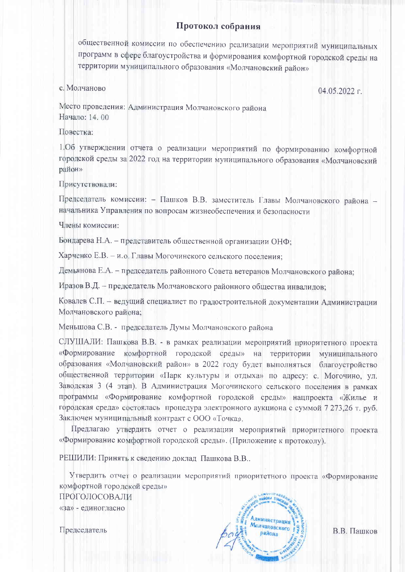## Протокол собрания

общественной комиссии по обеспечению реализации мероприятий муниципальных программ в сфере благоустройства и формирования комфортной городской среды на территории муниципального образования «Молчановский район»

## с. Молчаново

 $04.05.2022$  r.

Место проведения: Администрация Молчановского района Начало: 14, 00

# Повестка:

1.06 утверждении отчета о реализации мероприятий по формированию комфортной городской среды за 2022 год на территории муниципального образования «Молчановский район»

#### Присутствовали:

Председатель комиссии: - Пашков В.В. заместитель Главы Молчановского района начальника Управления по вопросам жизнеобеспечения и безопасности

Члены комиссии:

Бондарева Н.А. - представитель общественной организации ОНФ:

Харченко Е.В. - и.о. Главы Могочинского сельского поселения;

Демьянова Е.А. - председатель районного Совета ветеранов Молчановского района;

Иразов В.Д. - председатель Молчановского районного общества инвалидов:

Ковалев С.П. - ведущий специалист по градостроительной документации Администрации Молчановского района;

Меньшова С.В. - председатель Думы Молчановского района

СЛУШАЛИ: Пашкова В.В. - в рамках реализации мероприятий приоритетного проекта «Формирование комфортной городской среды» на территории муниципального образования «Молчановский район» в 2022 году будет выполняться благоустройство общественной территории «Парк культуры и отдыха» по адресу: с. Могочино, ул. Заводская 3 (4 этап). В Администрация Могочинского сельского поселения в рамках программы «Формирование комфортной городской среды» нацпроекта «Жилье и городская среда» состоялась процедура электронного аукциона с суммой 7 273.26 т. руб. Заключен муниципальный контракт с ООО «Точка».

Предлагаю утвердить отчет о реализации мероприятий приоритетного проекта «Формирование комфортной городской среды». (Приложение к протоколу).

РЕШИЛИ: Принять к сведению доклад Пашкова В.В..

Утвердить отчет о реализации мероприятий приоритетного проекта «Формирование комфортной городской среды»

ПРОГОЛОСОВАЛИ «за» - единогласно

Председатель



В.В. Пашков